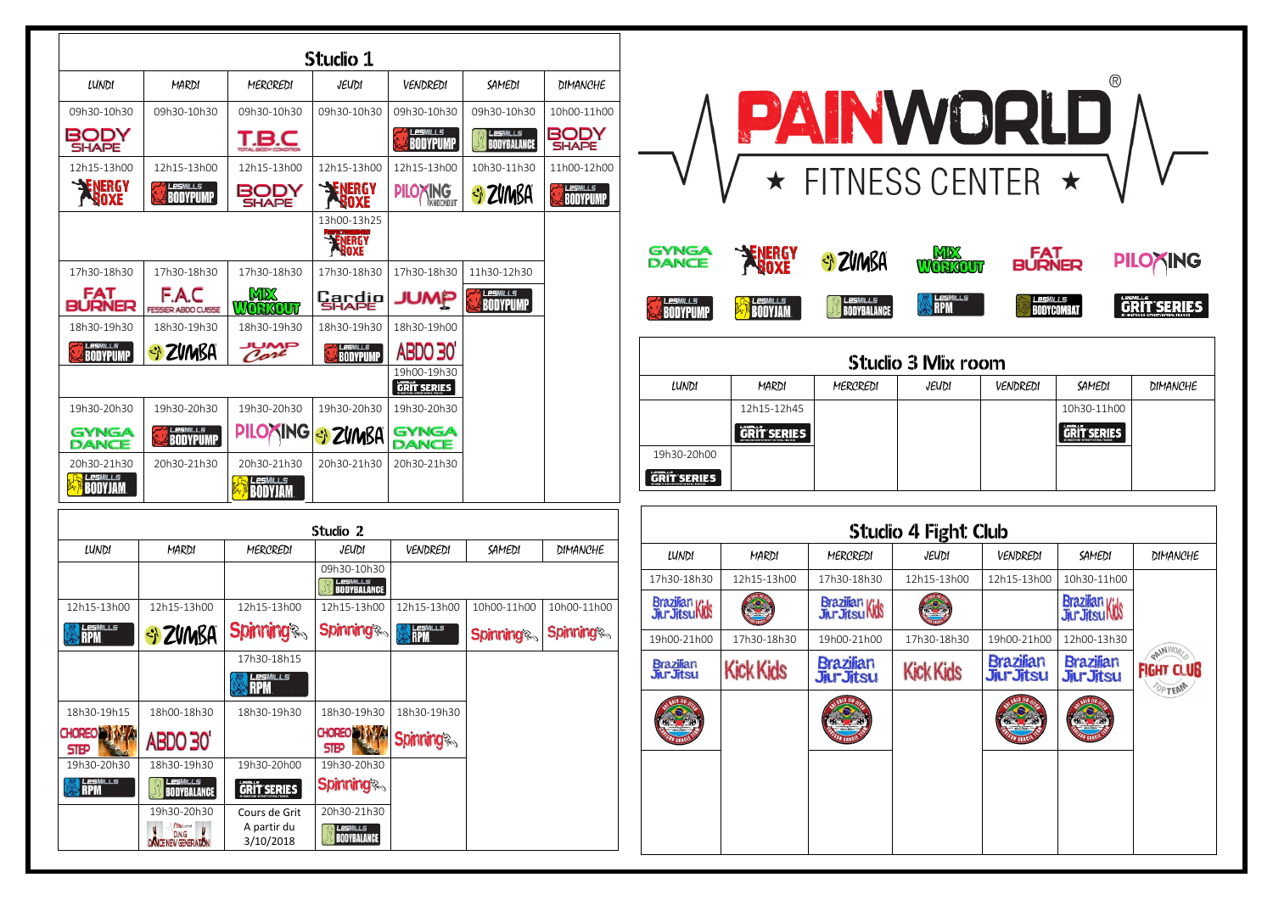|                              | Studio 4 Fight Club |                                     |                                    |                                        |
|------------------------------|---------------------|-------------------------------------|------------------------------------|----------------------------------------|
| CREDI                        | JEUDI               | VENDREDI                            | SAMEDI                             | DIMANCHE                               |
| -18h30-                      | 12h15-13h00         | 12h15-13h00                         | 10h30-11h00                        |                                        |
| ian Kids<br>tsu Kids         |                     |                                     | Brazilian<br>Jur Jitsu NNS         |                                        |
| $-21h00$                     | 17h30-18h30         | 19h00-21h00                         | 12h00-13h30                        |                                        |
| ilian<br><b><i>Fitsu</i></b> | <b>Kick Kids</b>    | <b>Brazilian</b><br><b>JurJitsu</b> | <b>Brazilian</b><br><b>JurJtsu</b> | RAINWOR<br><b>FIGHT CLUB</b><br>OPTEAM |
|                              |                     |                                     |                                    |                                        |
|                              |                     |                                     |                                    |                                        |
|                              |                     |                                     |                                    |                                        |

|                                |                                             |                                           | Studio 1                                      |                                   |                                       |                             |
|--------------------------------|---------------------------------------------|-------------------------------------------|-----------------------------------------------|-----------------------------------|---------------------------------------|-----------------------------|
| LUNDI                          | MARDI                                       | MERCREDI                                  | JEUDI                                         | VENDREDI                          | SAMEDI                                | DIMANCHE                    |
| 09h30-10h30                    | 09h30-10h30                                 | 09h30-10h30                               | 09h30-10h30                                   | 09h30-10h30                       | 09h30-10h30                           | 10h00-11h00                 |
| BODY<br><b>SHAPE</b>           |                                             | 'B.C                                      |                                               | LesMILLS<br>BODYPUMP              | <b>LESMILLS</b><br><b>BODYBALANCE</b> | BODY<br><b>SHAPE</b>        |
| 12h15-13h00                    | 12h15-13h00                                 | 12h15-13h00                               | 12h15-13h00                                   | 12h15-13h00                       | 10h30-11h30                           | 11h00-12h00                 |
| <b>SENERGY</b><br><b>BOXE</b>  | LESMILLS<br><b>BODYPUMP</b>                 | BODY<br><b>SHAPE</b>                      | <b>SENERGY</b><br>BOXE                        | <b>PILOXING</b><br>KNOCKOUT       | SI ZVIMBA                             | <b>LESMILLS</b><br>BODYPUMP |
|                                |                                             |                                           | 13h00-13h25<br><b>ENERGY</b>                  |                                   |                                       |                             |
| 17h30-18h30                    | 17h30-18h30                                 | 17h30-18h30                               | 17h30-18h30                                   | 17h30-18h30                       | 11h30-12h30                           |                             |
| <b>FAT<br/>BURNER</b>          | F.A.C<br><b>FESSIER ABDO CUISSE</b>         | MD<br>WORKOUT                             | <b>Cardio</b>                                 |                                   | <b>LESMILLS</b><br>Bodypump           |                             |
| 18h30-19h30                    | 18h30-19h30                                 | 18h30-19h30                               | 18h30-19h30                                   | 18h30-19h00                       |                                       |                             |
| LesMILLs<br><b>BODYPUMP</b>    | SI ZVMBA                                    | Care                                      | <b>BODYPUMP</b>                               | <b>ABDO 30°</b>                   |                                       |                             |
|                                |                                             |                                           |                                               | 19h00-19h30<br><b>GRIT SERIES</b> |                                       |                             |
| 19h30-20h30                    | 19h30-20h30                                 | 19h30-20h30                               | 19h30-20h30                                   | 19h30-20h30                       |                                       |                             |
| <b>GYNGA</b><br><b>DANCE</b>   | <b>LESMILLS</b><br><b>BODYPUMP</b>          | <b>PILOXING</b>                           | SI ZVMBA                                      | <b>GYNGA</b><br>DANCE             |                                       |                             |
| 20h30-21h30<br>esMiLLs         | 20h30-21h30                                 | 20h30-21h30<br><b>_esM</b> ILLS<br>IDYJAM | 20h30-21h30                                   | 20h30-21h30                       |                                       |                             |
|                                |                                             |                                           | Studio 2                                      |                                   |                                       |                             |
| LUNDI                          | MARDI                                       | MERCREDI                                  | JEUDI                                         | VENDREDI                          | SAMEDI                                | DIMANCHE                    |
|                                |                                             |                                           | 09h30-10h30<br><i>LesMills</i><br>BodyBalance |                                   |                                       |                             |
| 12h15-13h00                    | 12h15-13h00                                 | 12h15-13h00                               | 12h15-13h00                                   | 12h15-13h00                       | 10h00-11h00                           | 10h00-11h00                 |
| <b>LesM</b> ILLS<br><b>RPM</b> | SI ZVIMBA                                   | <b>Spinning</b>                           | <b>Spinning®</b>                              | LesMILLS<br>RPM                   | <b>Spinning</b>                       | <b>Spinning</b>             |
|                                |                                             | 17h30-18h15                               |                                               |                                   |                                       |                             |
|                                |                                             | <u>esMills</u><br><b>RPM</b>              |                                               |                                   |                                       |                             |
| 18h30-19h15                    | 18h00-18h30                                 | 18h30-19h30                               | 18h30-19h30                                   | 18h30-19h30                       |                                       |                             |
| <b>CHOREO</b><br><b>STEP</b>   | ABDO 30'                                    |                                           | <b>CHOREO IST &amp;</b><br><b>STEP</b>        | <b>Spinning®</b>                  |                                       |                             |
| 19h30-20h30                    | 18h30-19h30                                 | 19h30-20h00                               | 19h30-20h30                                   |                                   |                                       |                             |
| <i>LesMills</i><br>RPM         | LESMILLS<br><b>BODYBALANCE</b>              | <b>GRIT SERIES</b>                        | <b>Spinning</b>                               |                                   |                                       |                             |
|                                | 19h30-20h30<br><b>Pilly</b> world<br>D.N.G. | Cours de Grit<br>A partir du<br>3/10/2018 | 20h30-21h30<br>LesMILLs<br><b>BODYBALANCE</b> |                                   |                                       |                             |

| Studio 4 Fight Club                         |             |                                       |                  |                                     |                                     |                                        |  |  |
|---------------------------------------------|-------------|---------------------------------------|------------------|-------------------------------------|-------------------------------------|----------------------------------------|--|--|
| LUNDI                                       | MARDI       | MERCREDI                              | JEUDI            | VENDREDI                            | SAMEDI                              | DIMANCHE                               |  |  |
| 17h30-18h30                                 | 12h15-13h00 | 17h30-18h30                           | 12h15-13h00      | 12h15-13h00                         | 10h30-11h00                         |                                        |  |  |
| Brazilian<br>Jiur Jitsu Kids                |             | Brazilian<br>Jiur Jitsu Kids          |                  |                                     | Brazilian<br>Jur Jitsu MN           |                                        |  |  |
| 19h00-21h00                                 | 17h30-18h30 | 19h00-21h00                           | 17h30-18h30      | 19h00-21h00                         | 12h00-13h30                         |                                        |  |  |
| Brazilian<br>Jiur Jitsu<br><b>Kick Kids</b> |             | <b>Brazilian</b><br><b>Jiur Jitsu</b> | <b>Kick Kids</b> | <b>Brazilian</b><br><b>JurJitsu</b> | <b>Brazilian</b><br><b>JurJitsu</b> | PAINWO<br><b>FIGHT CLUB</b><br>OP TEAM |  |  |
|                                             |             |                                       |                  |                                     |                                     |                                        |  |  |
|                                             |             |                                       |                  |                                     |                                     |                                        |  |  |
|                                             |             |                                       |                  |                                     |                                     |                                        |  |  |



|                              |                    | <b>ZAINWURLL</b>               |                               |                 |                         |                 |  |  |
|------------------------------|--------------------|--------------------------------|-------------------------------|-----------------|-------------------------|-----------------|--|--|
|                              |                    | ★ FITNESS CENTER ★             |                               |                 |                         |                 |  |  |
| <b>GYNGA</b><br><b>DANCE</b> | ENERGY<br>Ngoxe    | SI ZVIMBA                      | MP<br><b>RKOUT</b>            | FAT<br>BURNER   |                         | <b>PILOAING</b> |  |  |
| <b>25MILL5</b>               | <b>BODYJAM</b>     | LesMills<br><b>BODYBALANCE</b> | <b>LesMILLs</b><br><b>RPM</b> | <b>LESWILLS</b> | GR<br><b>BODYCOMBAT</b> | <b>SERIES</b>   |  |  |
| <b>Studio 3 Mix room</b>     |                    |                                |                               |                 |                         |                 |  |  |
| LUNDI                        | MARDI              | MERCREDI                       | JEUDI                         | VENDREDI        | SAMEDI                  | <b>DIMANCHE</b> |  |  |
|                              | 12h15-12h45        |                                |                               |                 | 10h30-11h00             |                 |  |  |
|                              | <b>GRIT SERIES</b> |                                |                               |                 | GRIT SERIES             |                 |  |  |
| 19h30-20h00                  |                    |                                |                               |                 |                         |                 |  |  |
| GRIT SERIES                  |                    |                                |                               |                 |                         |                 |  |  |